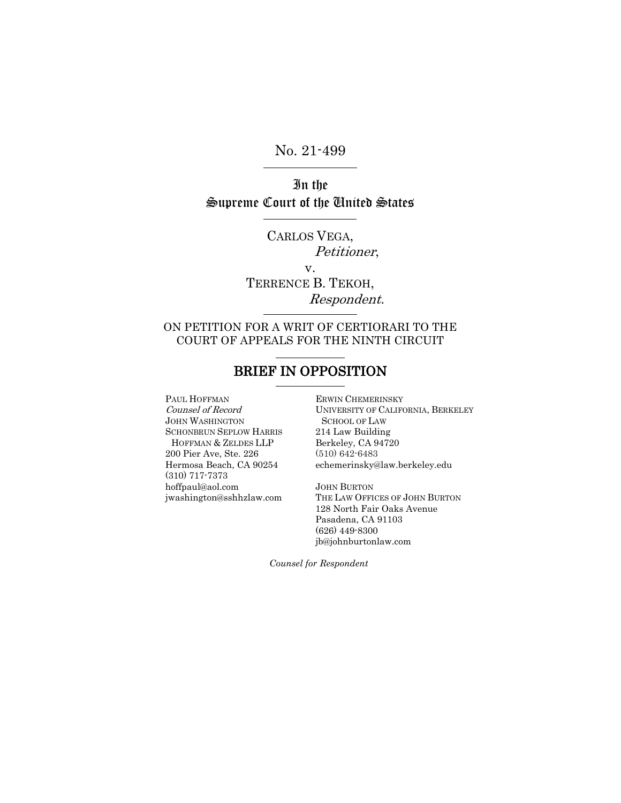No. 21-499

In the Supreme Court of the United States

> CARLOS VEGA, Petitioner, v.

TERRENCE B. TEKOH, Respondent.

## ON PETITION FOR A WRIT OF CERTIORARI TO THE COURT OF APPEALS FOR THE NINTH CIRCUIT

# BRIEF IN OPPOSITION

PAUL HOFFMAN Counsel of Record JOHN WASHINGTON SCHONBRUN SEPLOW HARRIS HOFFMAN & ZELDES LLP 200 Pier Ave, Ste. 226 Hermosa Beach, CA 90254 (310) 717-7373 hoffpaul@aol.com jwashington@sshhzlaw.com

ERWIN CHEMERINSKY UNIVERSITY OF CALIFORNIA, BERKELEY SCHOOL OF LAW 214 Law Building Berkeley, CA 94720 (510) 642-6483 echemerinsky@law.berkeley.edu

JOHN BURTON THE LAW OFFICES OF JOHN BURTON 128 North Fair Oaks Avenue Pasadena, CA 91103 (626) 449-8300 jb@johnburtonlaw.com

*Counsel for Respondent*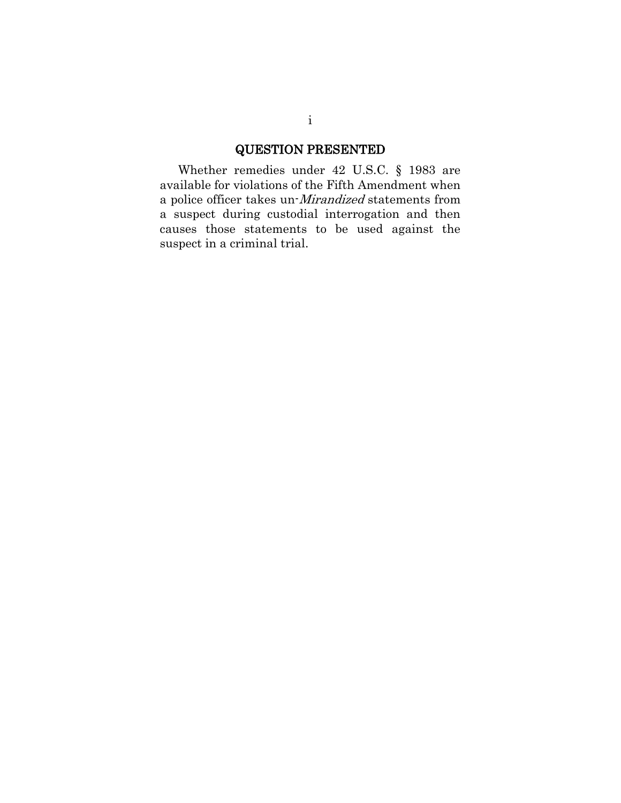## QUESTION PRESENTED

Whether remedies under 42 U.S.C. § 1983 are available for violations of the Fifth Amendment when a police officer takes un-Mirandized statements from a suspect during custodial interrogation and then causes those statements to be used against the suspect in a criminal trial.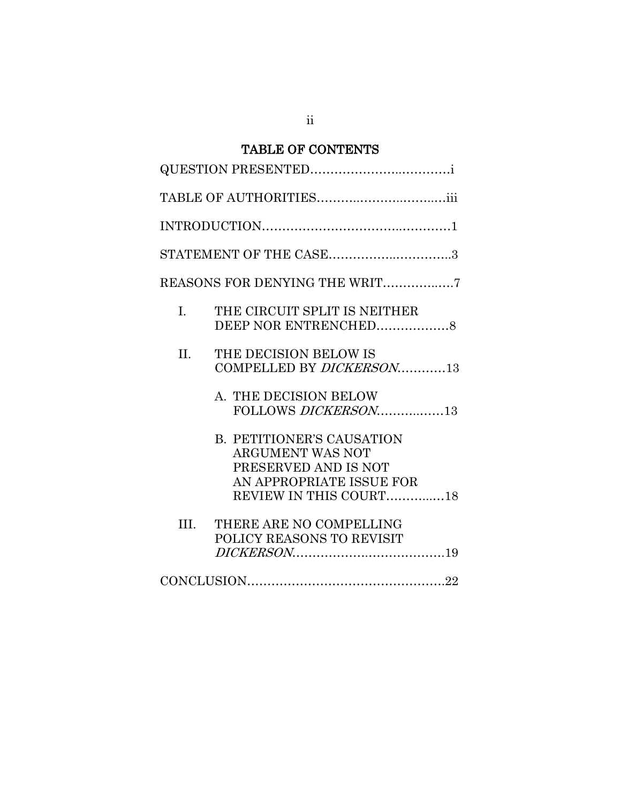# TABLE OF CONTENTS

| STATEMENT OF THE CASE3        |                                                                                                                                           |  |
|-------------------------------|-------------------------------------------------------------------------------------------------------------------------------------------|--|
| REASONS FOR DENYING THE WRIT7 |                                                                                                                                           |  |
| $\mathbf{L}$                  | THE CIRCUIT SPLIT IS NEITHER<br>DEEP NOR ENTRENCHED8                                                                                      |  |
| II.                           | THE DECISION BELOW IS<br>COMPELLED BY <i>DICKERSON</i> 13                                                                                 |  |
|                               | A. THE DECISION BELOW<br>FOLLOWS DICKERSON13                                                                                              |  |
|                               | <b>B. PETITIONER'S CAUSATION</b><br><b>ARGUMENT WAS NOT</b><br>PRESERVED AND IS NOT<br>AN APPROPRIATE ISSUE FOR<br>REVIEW IN THIS COURT18 |  |
| III.                          | THERE ARE NO COMPELLING<br>POLICY REASONS TO REVISIT                                                                                      |  |
|                               |                                                                                                                                           |  |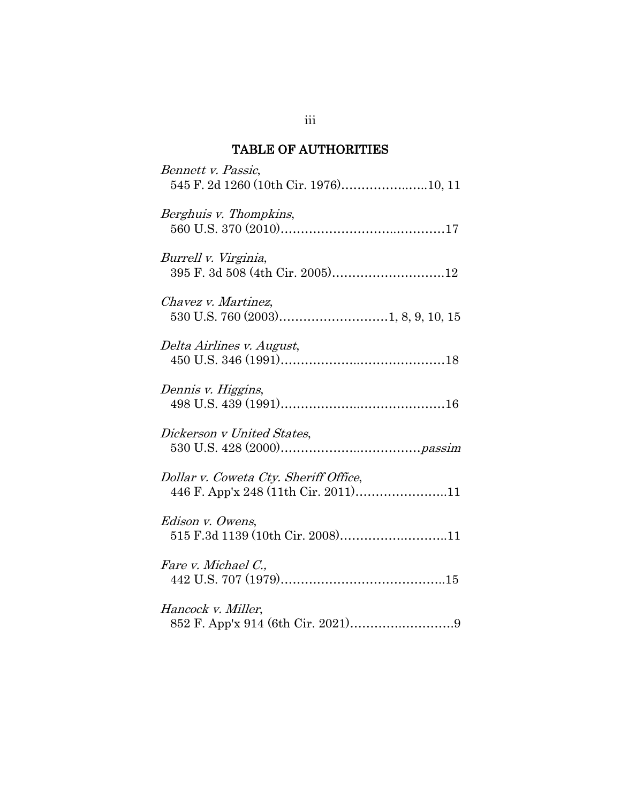# TABLE OF AUTHORITIES

| Bennett v. Passic,<br>545 F. 2d 1260 (10th Cir. 1976)10, 11                  |
|------------------------------------------------------------------------------|
| Berghuis v. Thompkins,                                                       |
| Burrell v. Virginia,<br>395 F. 3d 508 (4th Cir. 2005)12                      |
| Chavez v. Martinez,                                                          |
| Delta Airlines v. August,                                                    |
| Dennis v. Higgins,                                                           |
| Dickerson v United States,                                                   |
| Dollar v. Coweta Cty. Sheriff Office,<br>446 F. App'x 248 (11th Cir. 2011)11 |
| Edison v. Owens,<br>515 F.3d 1139 (10th Cir. 2008)11                         |
| Fare v. Michael C.,                                                          |
| Hancock v. Miller,                                                           |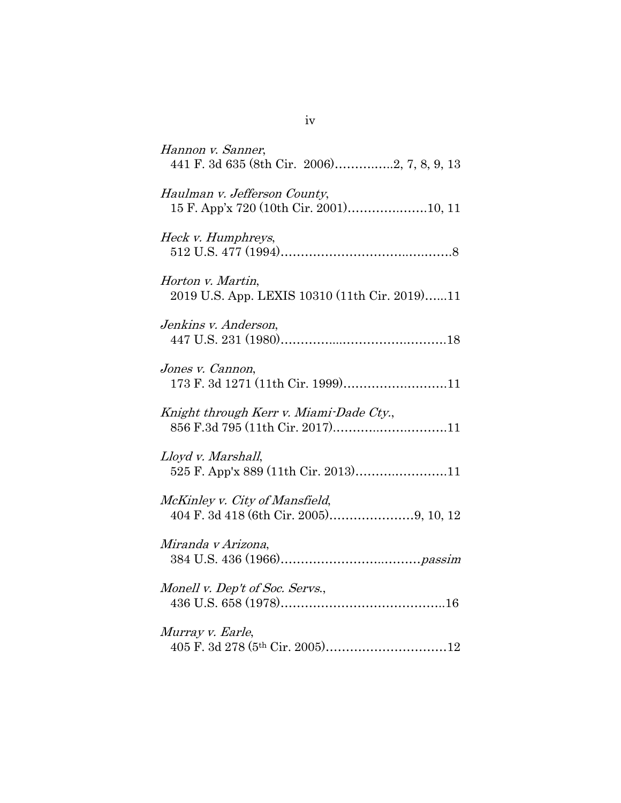| Hannon v. Sanner,<br>441 F. 3d 635 (8th Cir. 2006)2, 7, 8, 9, 13           |
|----------------------------------------------------------------------------|
| Haulman v. Jefferson County,                                               |
| Heck v. Humphreys,                                                         |
| Horton v. Martin,<br>2019 U.S. App. LEXIS 10310 (11th Cir. 2019)11         |
| Jenkins v. Anderson,                                                       |
| Jones v. Cannon,<br>173 F. 3d 1271 (11th Cir. 1999)11                      |
| Knight through Kerr v. Miami-Dade Cty.,<br>856 F.3d 795 (11th Cir. 2017)11 |
| Lloyd v. Marshall,<br>525 F. App'x 889 (11th Cir. 2013)11                  |
| McKinley v. City of Mansfield,                                             |
| Miranda v Arizona,                                                         |
| Monell v. Dep't of Soc. Servs.,                                            |
| Murray v. Earle,                                                           |

iv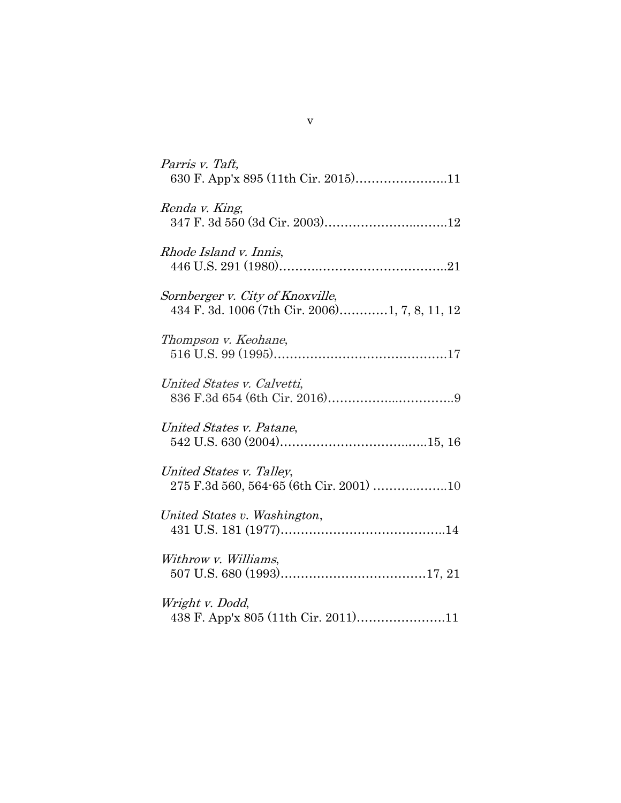| Parris v. Taft,<br>630 F. App'x 895 (11th Cir. 2015)11                             |
|------------------------------------------------------------------------------------|
| Renda v. King,                                                                     |
| Rhode Island v. Innis,                                                             |
| Sornberger v. City of Knoxville,<br>434 F. 3d. 1006 (7th Cir. 2006)1, 7, 8, 11, 12 |
| Thompson v. Keohane,                                                               |
| United States v. Calvetti,                                                         |
| United States v. Patane,                                                           |
| United States v. Talley,                                                           |
| United States v. Washington,                                                       |
| Withrow v. Williams,                                                               |
| Wright v. Dodd,<br>438 F. App'x 805 (11th Cir. 2011)11                             |

v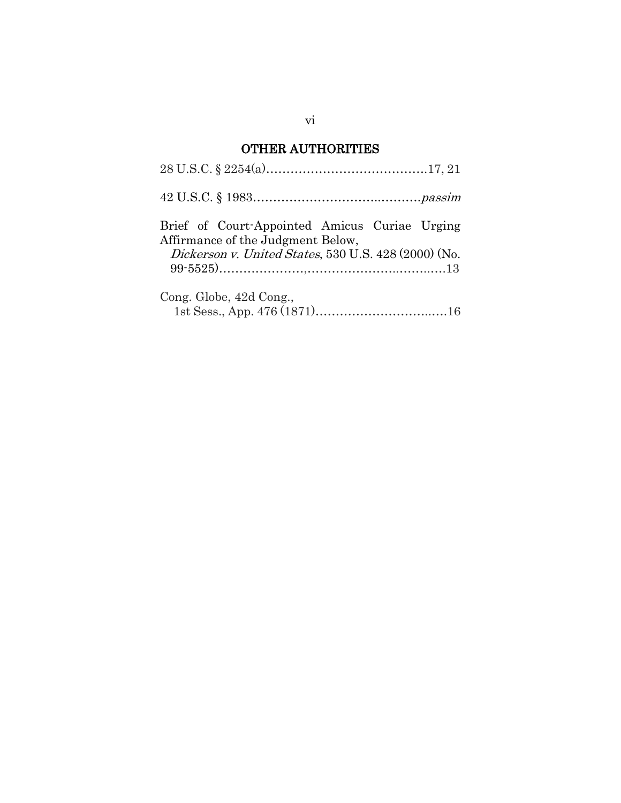# OTHER AUTHORITIES

| Brief of Court-Appointed Amicus Curiae Urging<br>Affirmance of the Judgment Below,<br>Dickerson v. United States, 530 U.S. 428 (2000) (No. |
|--------------------------------------------------------------------------------------------------------------------------------------------|
| Cong. Globe, 42d Cong.,                                                                                                                    |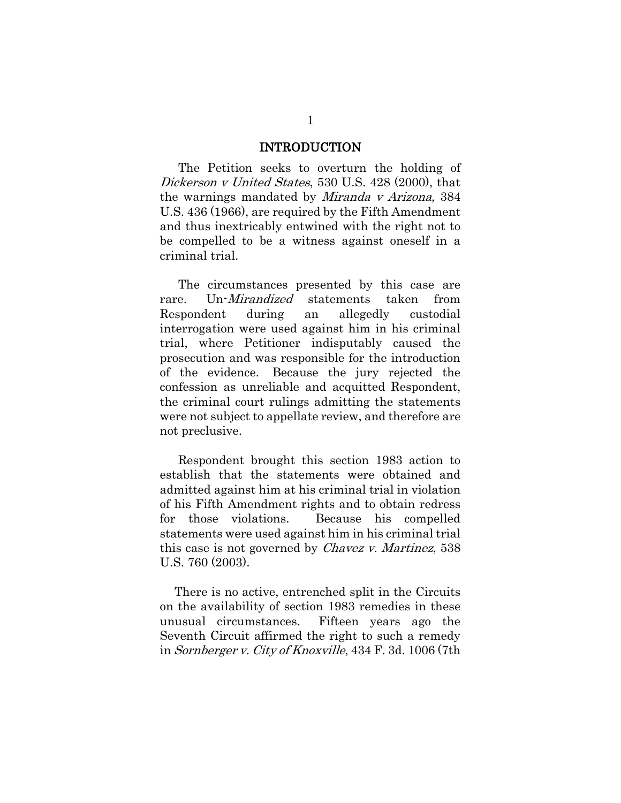### INTRODUCTION

The Petition seeks to overturn the holding of Dickerson v United States, 530 U.S. 428 (2000), that the warnings mandated by Miranda v Arizona, 384 U.S. 436 (1966), are required by the Fifth Amendment and thus inextricably entwined with the right not to be compelled to be a witness against oneself in a criminal trial.

The circumstances presented by this case are rare. Un-*Mirandized* statements taken from Respondent during an allegedly custodial interrogation were used against him in his criminal trial, where Petitioner indisputably caused the prosecution and was responsible for the introduction of the evidence. Because the jury rejected the confession as unreliable and acquitted Respondent, the criminal court rulings admitting the statements were not subject to appellate review, and therefore are not preclusive.

Respondent brought this section 1983 action to establish that the statements were obtained and admitted against him at his criminal trial in violation of his Fifth Amendment rights and to obtain redress for those violations. Because his compelled statements were used against him in his criminal trial this case is not governed by Chavez v. Martinez, 538 U.S. 760 (2003).

There is no active, entrenched split in the Circuits on the availability of section 1983 remedies in these unusual circumstances. Fifteen years ago the Seventh Circuit affirmed the right to such a remedy in Sornberger v. City of Knoxville, 434 F. 3d. 1006 (7th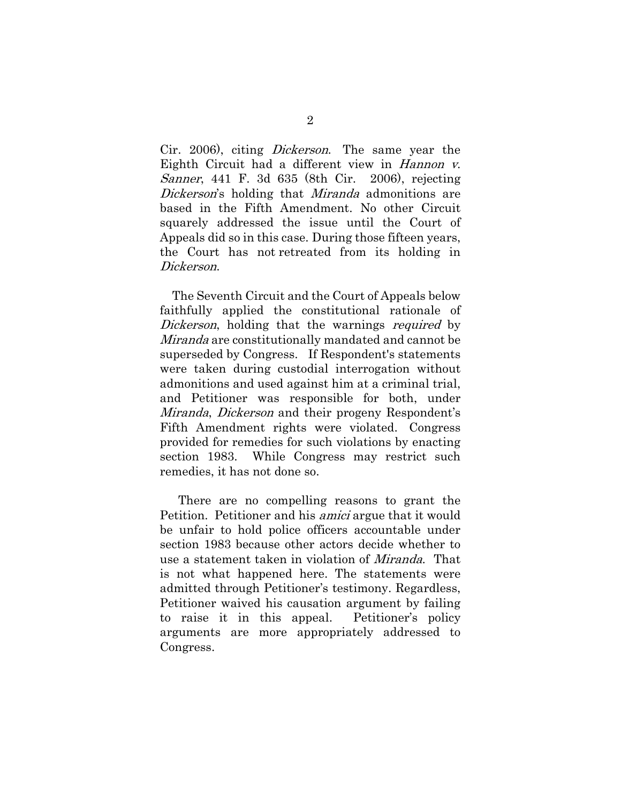Cir. 2006), citing Dickerson. The same year the Eighth Circuit had a different view in Hannon v. Sanner, 441 F. 3d 635 (8th Cir. 2006), rejecting Dickerson's holding that *Miranda* admonitions are based in the Fifth Amendment. No other Circuit squarely addressed the issue until the Court of Appeals did so in this case. During those fifteen years, the Court has not retreated from its holding in Dickerson.

The Seventh Circuit and the Court of Appeals below faithfully applied the constitutional rationale of Dickerson, holding that the warnings required by Miranda are constitutionally mandated and cannot be superseded by Congress. If Respondent's statements were taken during custodial interrogation without admonitions and used against him at a criminal trial, and Petitioner was responsible for both, under Miranda, Dickerson and their progeny Respondent's Fifth Amendment rights were violated. Congress provided for remedies for such violations by enacting section 1983. While Congress may restrict such remedies, it has not done so.

There are no compelling reasons to grant the Petition. Petitioner and his amici argue that it would be unfair to hold police officers accountable under section 1983 because other actors decide whether to use a statement taken in violation of Miranda. That is not what happened here. The statements were admitted through Petitioner's testimony. Regardless, Petitioner waived his causation argument by failing to raise it in this appeal. Petitioner's policy arguments are more appropriately addressed to Congress.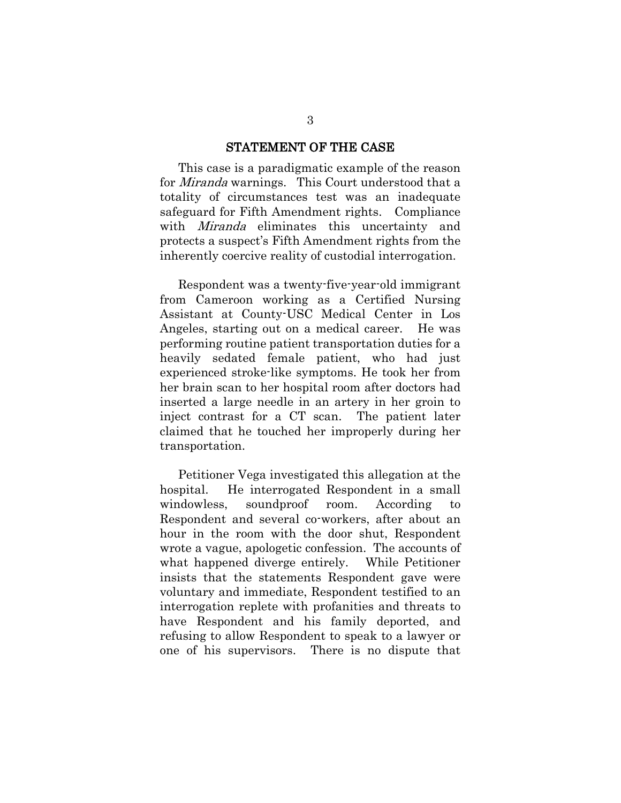#### STATEMENT OF THE CASE

 This case is a paradigmatic example of the reason for Miranda warnings. This Court understood that a totality of circumstances test was an inadequate safeguard for Fifth Amendment rights. Compliance with *Miranda* eliminates this uncertainty and protects a suspect's Fifth Amendment rights from the inherently coercive reality of custodial interrogation.

Respondent was a twenty-five-year-old immigrant from Cameroon working as a Certified Nursing Assistant at County-USC Medical Center in Los Angeles, starting out on a medical career. He was performing routine patient transportation duties for a heavily sedated female patient, who had just experienced stroke-like symptoms. He took her from her brain scan to her hospital room after doctors had inserted a large needle in an artery in her groin to inject contrast for a CT scan. The patient later claimed that he touched her improperly during her transportation.

Petitioner Vega investigated this allegation at the hospital. He interrogated Respondent in a small windowless, soundproof room. According to Respondent and several co-workers, after about an hour in the room with the door shut, Respondent wrote a vague, apologetic confession. The accounts of what happened diverge entirely. While Petitioner insists that the statements Respondent gave were voluntary and immediate, Respondent testified to an interrogation replete with profanities and threats to have Respondent and his family deported, and refusing to allow Respondent to speak to a lawyer or one of his supervisors. There is no dispute that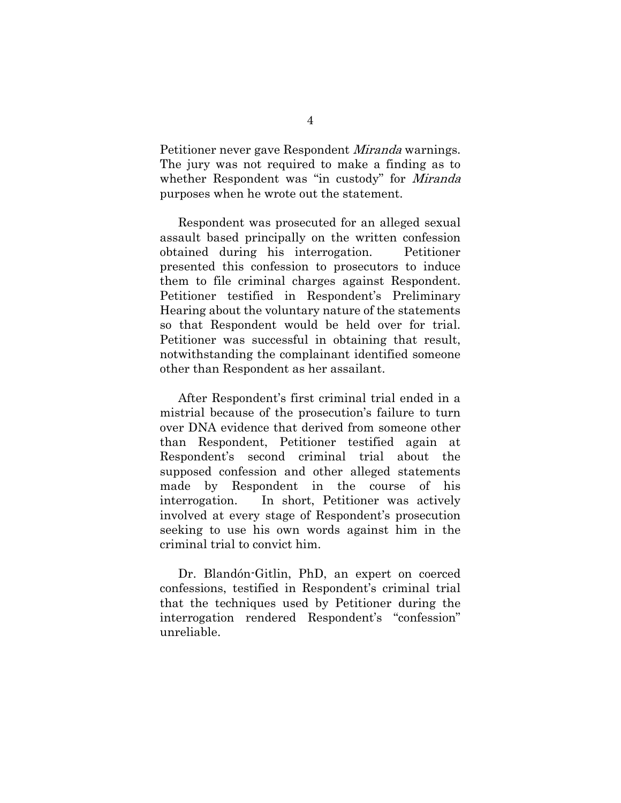Petitioner never gave Respondent Miranda warnings. The jury was not required to make a finding as to whether Respondent was "in custody" for *Miranda* purposes when he wrote out the statement.

 Respondent was prosecuted for an alleged sexual assault based principally on the written confession obtained during his interrogation. Petitioner presented this confession to prosecutors to induce them to file criminal charges against Respondent. Petitioner testified in Respondent's Preliminary Hearing about the voluntary nature of the statements so that Respondent would be held over for trial. Petitioner was successful in obtaining that result, notwithstanding the complainant identified someone other than Respondent as her assailant.

After Respondent's first criminal trial ended in a mistrial because of the prosecution's failure to turn over DNA evidence that derived from someone other than Respondent, Petitioner testified again at Respondent's second criminal trial about the supposed confession and other alleged statements made by Respondent in the course of his interrogation. In short, Petitioner was actively involved at every stage of Respondent's prosecution seeking to use his own words against him in the criminal trial to convict him.

Dr. Blandón-Gitlin, PhD, an expert on coerced confessions, testified in Respondent's criminal trial that the techniques used by Petitioner during the interrogation rendered Respondent's "confession" unreliable.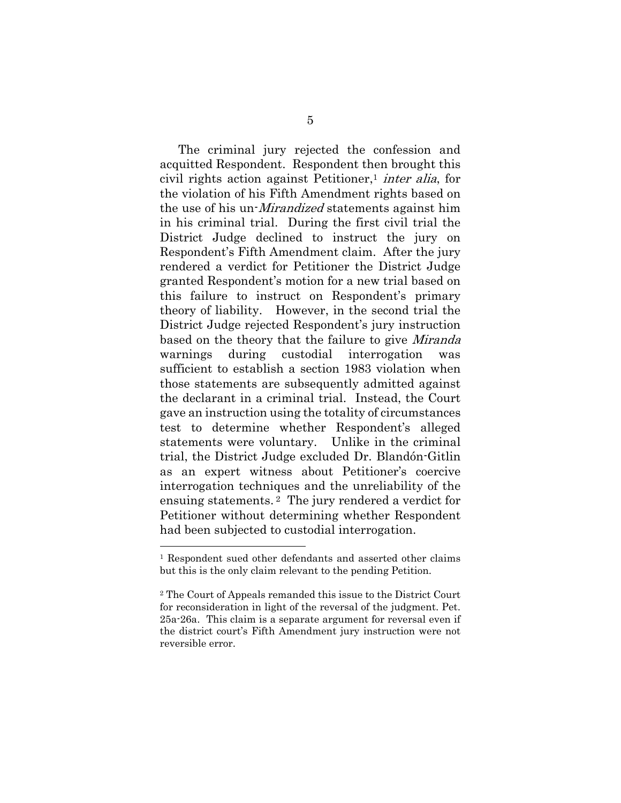The criminal jury rejected the confession and acquitted Respondent. Respondent then brought this civil rights action against Petitioner,<sup>1</sup> inter alia, for the violation of his Fifth Amendment rights based on the use of his un-Mirandized statements against him in his criminal trial. During the first civil trial the District Judge declined to instruct the jury on Respondent's Fifth Amendment claim. After the jury rendered a verdict for Petitioner the District Judge granted Respondent's motion for a new trial based on this failure to instruct on Respondent's primary theory of liability. However, in the second trial the District Judge rejected Respondent's jury instruction based on the theory that the failure to give *Miranda* warnings during custodial interrogation was sufficient to establish a section 1983 violation when those statements are subsequently admitted against the declarant in a criminal trial. Instead, the Court gave an instruction using the totality of circumstances test to determine whether Respondent's alleged statements were voluntary. Unlike in the criminal trial, the District Judge excluded Dr. Blandón-Gitlin as an expert witness about Petitioner's coercive interrogation techniques and the unreliability of the ensuing statements. <sup>2</sup> The jury rendered a verdict for Petitioner without determining whether Respondent had been subjected to custodial interrogation.

<sup>1</sup> Respondent sued other defendants and asserted other claims but this is the only claim relevant to the pending Petition.

<sup>2</sup> The Court of Appeals remanded this issue to the District Court for reconsideration in light of the reversal of the judgment. Pet. 25a-26a. This claim is a separate argument for reversal even if the district court's Fifth Amendment jury instruction were not reversible error.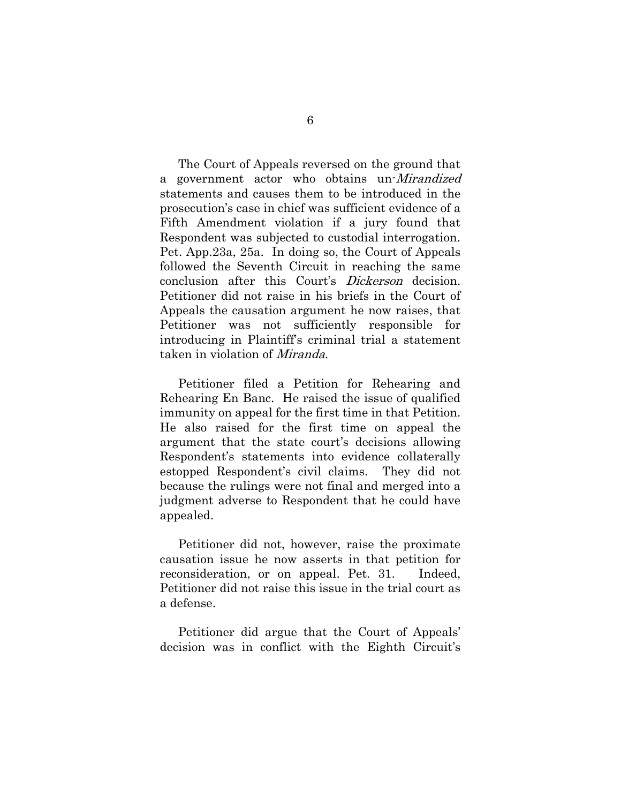The Court of Appeals reversed on the ground that a government actor who obtains un-Mirandized statements and causes them to be introduced in the prosecution's case in chief was sufficient evidence of a Fifth Amendment violation if a jury found that Respondent was subjected to custodial interrogation. Pet. App.23a, 25a. In doing so, the Court of Appeals followed the Seventh Circuit in reaching the same conclusion after this Court's Dickerson decision. Petitioner did not raise in his briefs in the Court of Appeals the causation argument he now raises, that Petitioner was not sufficiently responsible for introducing in Plaintiff's criminal trial a statement taken in violation of Miranda.

Petitioner filed a Petition for Rehearing and Rehearing En Banc. He raised the issue of qualified immunity on appeal for the first time in that Petition. He also raised for the first time on appeal the argument that the state court's decisions allowing Respondent's statements into evidence collaterally estopped Respondent's civil claims. They did not because the rulings were not final and merged into a judgment adverse to Respondent that he could have appealed.

Petitioner did not, however, raise the proximate causation issue he now asserts in that petition for reconsideration, or on appeal. Pet. 31. Indeed, Petitioner did not raise this issue in the trial court as a defense.

Petitioner did argue that the Court of Appeals' decision was in conflict with the Eighth Circuit's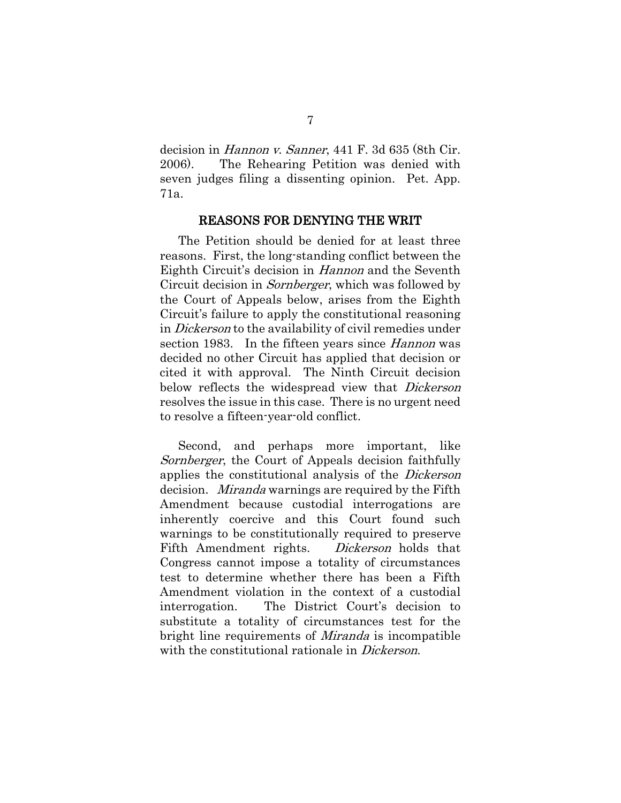decision in Hannon v. Sanner, 441 F. 3d 635 (8th Cir. 2006). The Rehearing Petition was denied with seven judges filing a dissenting opinion. Pet. App. 71a.

#### REASONS FOR DENYING THE WRIT

The Petition should be denied for at least three reasons. First, the long-standing conflict between the Eighth Circuit's decision in *Hannon* and the Seventh Circuit decision in Sornberger, which was followed by the Court of Appeals below, arises from the Eighth Circuit's failure to apply the constitutional reasoning in Dickerson to the availability of civil remedies under section 1983. In the fifteen years since *Hannon* was decided no other Circuit has applied that decision or cited it with approval. The Ninth Circuit decision below reflects the widespread view that *Dickerson* resolves the issue in this case. There is no urgent need to resolve a fifteen-year-old conflict.

Second, and perhaps more important, like Sornberger, the Court of Appeals decision faithfully applies the constitutional analysis of the Dickerson decision. *Miranda* warnings are required by the Fifth Amendment because custodial interrogations are inherently coercive and this Court found such warnings to be constitutionally required to preserve Fifth Amendment rights. *Dickerson* holds that Congress cannot impose a totality of circumstances test to determine whether there has been a Fifth Amendment violation in the context of a custodial interrogation. The District Court's decision to substitute a totality of circumstances test for the bright line requirements of *Miranda* is incompatible with the constitutional rationale in *Dickerson*.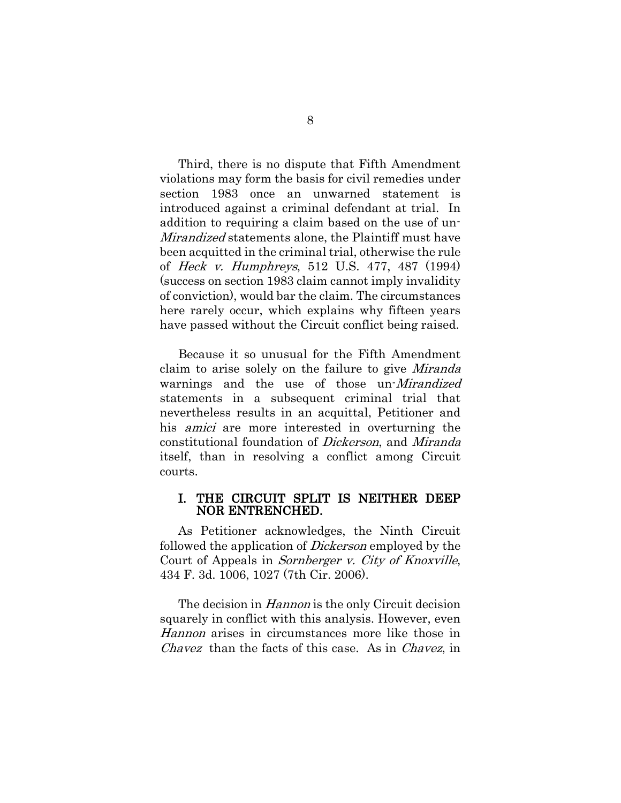Third, there is no dispute that Fifth Amendment violations may form the basis for civil remedies under section 1983 once an unwarned statement is introduced against a criminal defendant at trial. In addition to requiring a claim based on the use of un-Mirandized statements alone, the Plaintiff must have been acquitted in the criminal trial, otherwise the rule of Heck v. Humphreys, 512 U.S. 477, 487 (1994) (success on section 1983 claim cannot imply invalidity of conviction), would bar the claim. The circumstances here rarely occur, which explains why fifteen years have passed without the Circuit conflict being raised.

Because it so unusual for the Fifth Amendment claim to arise solely on the failure to give Miranda warnings and the use of those un-*Mirandized* statements in a subsequent criminal trial that nevertheless results in an acquittal, Petitioner and his *amici* are more interested in overturning the constitutional foundation of Dickerson, and Miranda itself, than in resolving a conflict among Circuit courts.

### I. THE CIRCUIT SPLIT IS NEITHER DEEP NOR ENTRENCHED.

As Petitioner acknowledges, the Ninth Circuit followed the application of Dickerson employed by the Court of Appeals in Sornberger v. City of Knoxville, 434 F. 3d. 1006, 1027 (7th Cir. 2006).

The decision in *Hannon* is the only Circuit decision squarely in conflict with this analysis. However, even Hannon arises in circumstances more like those in Chavez than the facts of this case. As in Chavez, in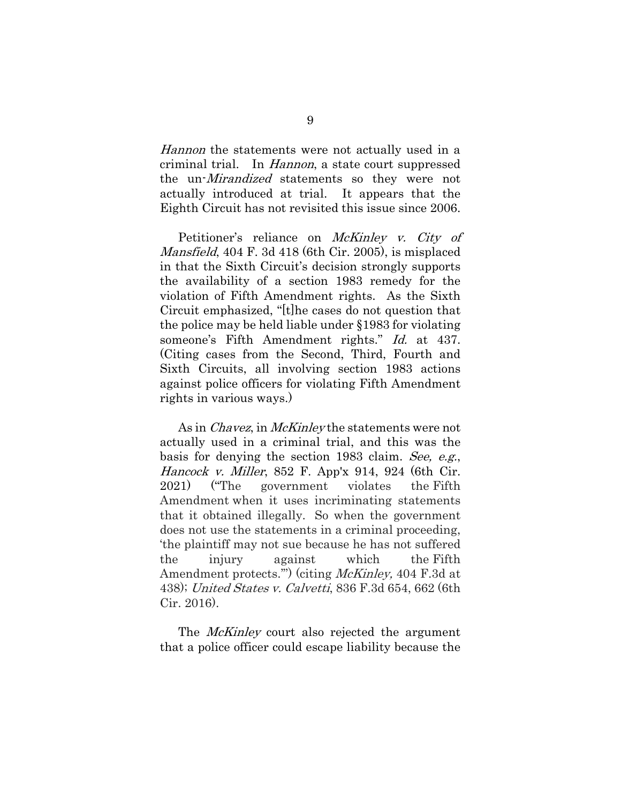Hannon the statements were not actually used in a criminal trial. In Hannon, a state court suppressed the un-Mirandized statements so they were not actually introduced at trial. It appears that the Eighth Circuit has not revisited this issue since 2006.

Petitioner's reliance on *McKinley v. City of* Mansfield, 404 F. 3d 418 (6th Cir. 2005), is misplaced in that the Sixth Circuit's decision strongly supports the availability of a section 1983 remedy for the violation of Fifth Amendment rights. As the Sixth Circuit emphasized, "[t]he cases do not question that the police may be held liable under §1983 for violating someone's Fifth Amendment rights." Id. at 437. (Citing cases from the Second, Third, Fourth and Sixth Circuits, all involving section 1983 actions against police officers for violating Fifth Amendment rights in various ways.)

As in *Chavez*, in *McKinley* the statements were not actually used in a criminal trial, and this was the basis for denying the section 1983 claim. See, e.g., Hancock v. Miller, 852 F. App'x 914, 924 (6th Cir. 2021) ("The government violates the Fifth Amendment when it uses incriminating statements that it obtained illegally. So when the government does not use the statements in a criminal proceeding, 'the plaintiff may not sue because he has not suffered the injury against which the Fifth Amendment protects.") (citing *McKinley*, 404 F.3d at 438); United States v. Calvetti, 836 F.3d 654, 662 (6th Cir. 2016).

The *McKinley* court also rejected the argument that a police officer could escape liability because the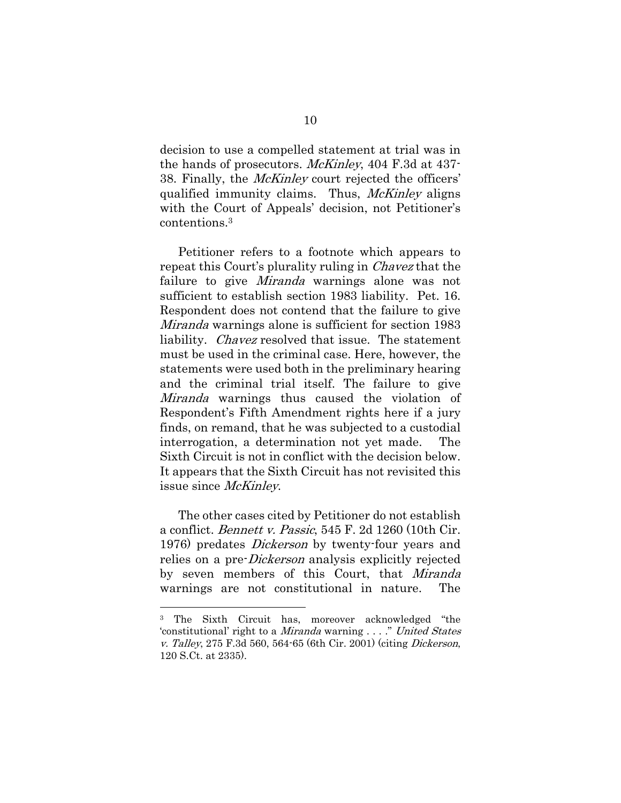decision to use a compelled statement at trial was in the hands of prosecutors. McKinley, 404 F.3d at 437- 38. Finally, the McKinley court rejected the officers' qualified immunity claims. Thus, *McKinley* aligns with the Court of Appeals' decision, not Petitioner's contentions. 3

Petitioner refers to a footnote which appears to repeat this Court's plurality ruling in Chavez that the failure to give *Miranda* warnings alone was not sufficient to establish section 1983 liability. Pet. 16. Respondent does not contend that the failure to give Miranda warnings alone is sufficient for section 1983 liability. Chavez resolved that issue. The statement must be used in the criminal case. Here, however, the statements were used both in the preliminary hearing and the criminal trial itself. The failure to give Miranda warnings thus caused the violation of Respondent's Fifth Amendment rights here if a jury finds, on remand, that he was subjected to a custodial interrogation, a determination not yet made. The Sixth Circuit is not in conflict with the decision below. It appears that the Sixth Circuit has not revisited this issue since *McKinley*.

The other cases cited by Petitioner do not establish a conflict. Bennett v. Passic, 545 F. 2d 1260 (10th Cir. 1976) predates *Dickerson* by twenty-four years and relies on a pre-Dickerson analysis explicitly rejected by seven members of this Court, that Miranda warnings are not constitutional in nature. The

<sup>3</sup> The Sixth Circuit has, moreover acknowledged "the 'constitutional' right to a Miranda warning . . . ." United States v. Talley, 275 F.3d 560, 564-65 (6th Cir. 2001) (citing Dickerson, 120 S.Ct. at 2335).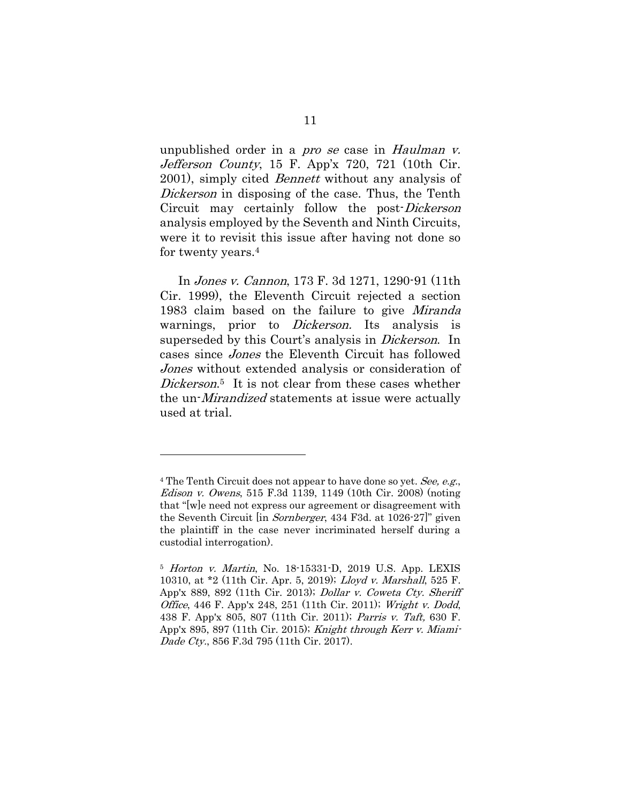unpublished order in a *pro se* case in *Haulman v.* Jefferson County, 15 F. App'x 720, 721 (10th Cir. 2001), simply cited Bennett without any analysis of Dickerson in disposing of the case. Thus, the Tenth Circuit may certainly follow the post-Dickerson analysis employed by the Seventh and Ninth Circuits, were it to revisit this issue after having not done so for twenty years.<sup>4</sup>

In Jones v. Cannon, 173 F. 3d 1271, 1290-91 (11th Cir. 1999), the Eleventh Circuit rejected a section 1983 claim based on the failure to give *Miranda* warnings, prior to *Dickerson*. Its analysis is superseded by this Court's analysis in *Dickerson*. In cases since Jones the Eleventh Circuit has followed Jones without extended analysis or consideration of Dickerson.<sup>5</sup> It is not clear from these cases whether the un-*Mirandized* statements at issue were actually used at trial.

<sup>&</sup>lt;sup>4</sup> The Tenth Circuit does not appear to have done so yet. See, e.g., Edison v. Owens, 515 F.3d 1139, 1149 (10th Cir. 2008) (noting that "[w]e need not express our agreement or disagreement with the Seventh Circuit [in Sornberger, 434 F3d. at 1026-27]" given the plaintiff in the case never incriminated herself during a custodial interrogation).

<sup>5</sup> Horton v. Martin, No. 18-15331-D, 2019 U.S. App. LEXIS 10310, at \*2 (11th Cir. Apr. 5, 2019); [Lloyd v. Marshall](https://advance.lexis.com/api/document/collection/cases/id/590V-6ND1-F04K-X003-00000-00?page=892&reporter=1118&cite=525%20Fed.%20Appx.%20889&context=1000516), 525 F. [App'x 889, 892 \(11th Cir. 2013\);](https://advance.lexis.com/api/document/collection/cases/id/590V-6ND1-F04K-X003-00000-00?page=892&reporter=1118&cite=525%20Fed.%20Appx.%20889&context=1000516) Dollar v. Coweta Cty. Sheriff Office, 446 F. App'x 248, 251 (11th Cir. 2011); Wright v. Dodd, 438 F. App'x 805, 807 (11th Cir. 2011); Parris v. Taft, 630 F. App'x 895, 897 (11th Cir. 2015); Knight through Kerr v. Miami-Dade Cty., 856 F.3d 795 (11th Cir. 2017).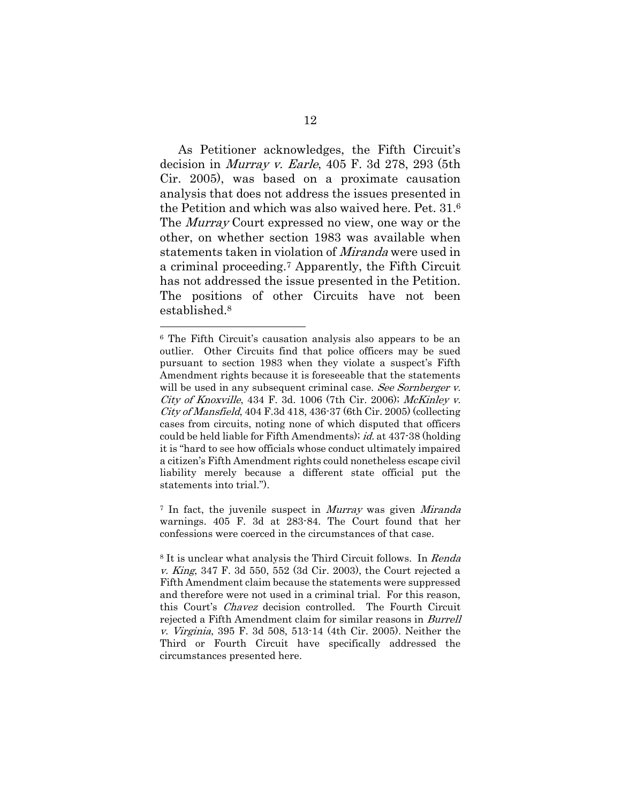As Petitioner acknowledges, the Fifth Circuit's decision in Murray v. Earle, 405 F. 3d 278, 293 (5th Cir. 2005), was based on a proximate causation analysis that does not address the issues presented in the Petition and which was also waived here. Pet. 31. 6 The *Murray* Court expressed no view, one way or the other, on whether section 1983 was available when statements taken in violation of Miranda were used in a criminal proceeding.<sup>7</sup> Apparently, the Fifth Circuit has not addressed the issue presented in the Petition. The positions of other Circuits have not been established.<sup>8</sup>

<sup>7</sup> In fact, the juvenile suspect in *Murray* was given *Miranda* warnings. 405 F. 3d at 283-84. The Court found that her confessions were coerced in the circumstances of that case.

<sup>6</sup> The Fifth Circuit's causation analysis also appears to be an outlier. Other Circuits find that police officers may be sued pursuant to section 1983 when they violate a suspect's Fifth Amendment rights because it is foreseeable that the statements will be used in any subsequent criminal case. See Sornberger v. City of Knoxville, 434 F. 3d. 1006 (7th Cir. 2006); McKinley v.  $City of Mansfield$ , 404 F.3d 418, 436-37 (6th Cir. 2005) (collecting cases from circuits, noting none of which disputed that officers could be held liable for Fifth Amendments); id. at 437-38 (holding it is "hard to see how officials whose conduct ultimately impaired a citizen's Fifth Amendment rights could nonetheless escape civil liability merely because a different state official put the statements into trial.").

<sup>8</sup> It is unclear what analysis the Third Circuit follows. In Renda v. King, 347 F. 3d 550, 552 (3d Cir. 2003), the Court rejected a Fifth Amendment claim because the statements were suppressed and therefore were not used in a criminal trial. For this reason, this Court's Chavez decision controlled. The Fourth Circuit rejected a Fifth Amendment claim for similar reasons in Burrell v. Virginia, 395 F. 3d 508, 513-14 (4th Cir. 2005). Neither the Third or Fourth Circuit have specifically addressed the circumstances presented here.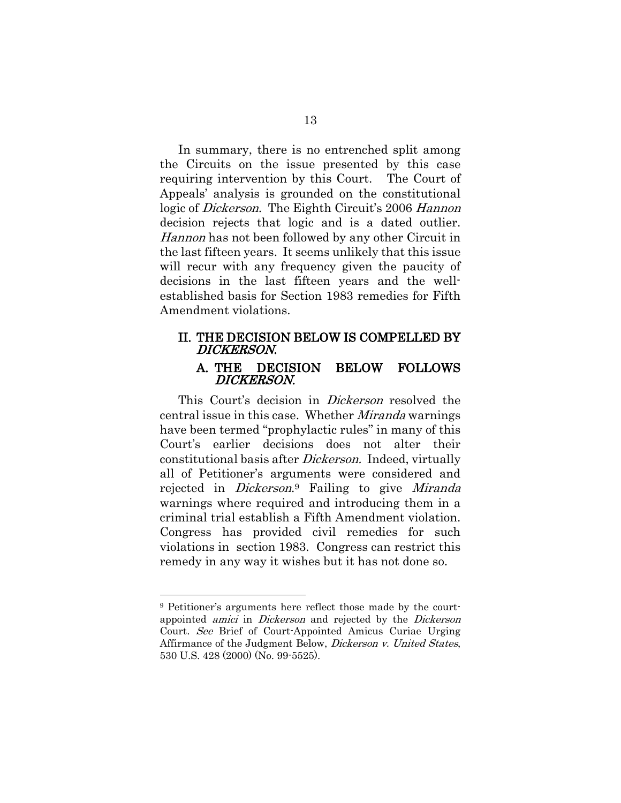In summary, there is no entrenched split among the Circuits on the issue presented by this case requiring intervention by this Court. The Court of Appeals' analysis is grounded on the constitutional logic of *Dickerson*. The Eighth Circuit's 2006 Hannon decision rejects that logic and is a dated outlier. Hannon has not been followed by any other Circuit in the last fifteen years. It seems unlikely that this issue will recur with any frequency given the paucity of decisions in the last fifteen years and the wellestablished basis for Section 1983 remedies for Fifth Amendment violations.

# II. THE DECISION BELOW IS COMPELLED BY DICKERSON.

## A. THE DECISION BELOW FOLLOWS DICKERSON.

This Court's decision in *Dickerson* resolved the central issue in this case. Whether Miranda warnings have been termed "prophylactic rules" in many of this Court's earlier decisions does not alter their constitutional basis after Dickerson. Indeed, virtually all of Petitioner's arguments were considered and rejected in *Dickerson*.<sup>9</sup> Failing to give Miranda warnings where required and introducing them in a criminal trial establish a Fifth Amendment violation. Congress has provided civil remedies for such violations in section 1983. Congress can restrict this remedy in any way it wishes but it has not done so.

<sup>9</sup> Petitioner's arguments here reflect those made by the courtappointed amici in Dickerson and rejected by the Dickerson Court. See Brief of Court-Appointed Amicus Curiae Urging Affirmance of the Judgment Below, *Dickerson v. United States*, 530 U.S. 428 (2000) (No. 99-5525).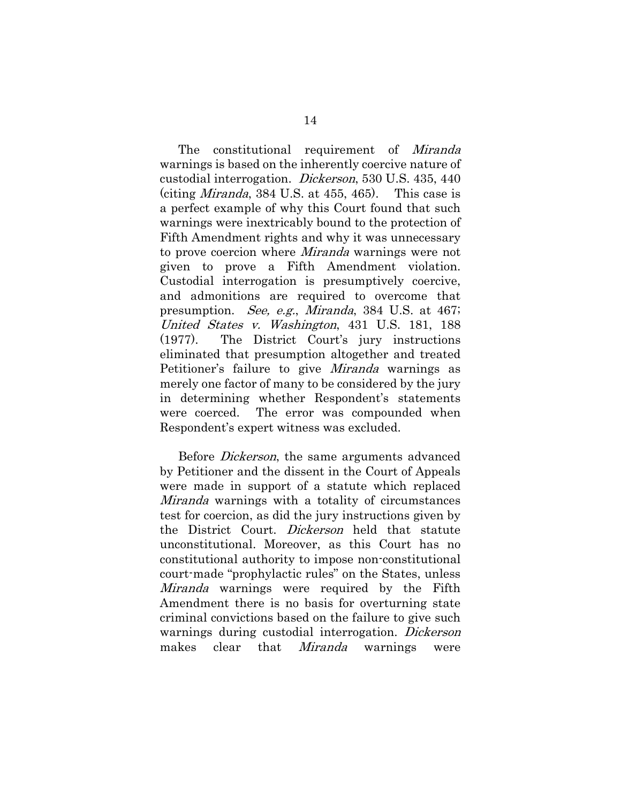The constitutional requirement of Miranda warnings is based on the inherently coercive nature of custodial interrogation. Dickerson, 530 U.S. 435, 440 (citing *Miranda*, 384 U.S. at 455, 465). This case is a perfect example of why this Court found that such warnings were inextricably bound to the protection of Fifth Amendment rights and why it was unnecessary to prove coercion where Miranda warnings were not given to prove a Fifth Amendment violation. Custodial interrogation is presumptively coercive, and admonitions are required to overcome that presumption. See, e.g., Miranda, 384 U.S. at 467; United States v. Washington, 431 U.S. 181, 188 (1977). The District Court's jury instructions eliminated that presumption altogether and treated Petitioner's failure to give Miranda warnings as merely one factor of many to be considered by the jury in determining whether Respondent's statements were coerced. The error was compounded when Respondent's expert witness was excluded.

Before *Dickerson*, the same arguments advanced by Petitioner and the dissent in the Court of Appeals were made in support of a statute which replaced Miranda warnings with a totality of circumstances test for coercion, as did the jury instructions given by the District Court. Dickerson held that statute unconstitutional. Moreover, as this Court has no constitutional authority to impose non-constitutional court-made "prophylactic rules" on the States, unless *Miranda* warnings were required by the Fifth Amendment there is no basis for overturning state criminal convictions based on the failure to give such warnings during custodial interrogation. Dickerson makes clear that *Miranda* warnings were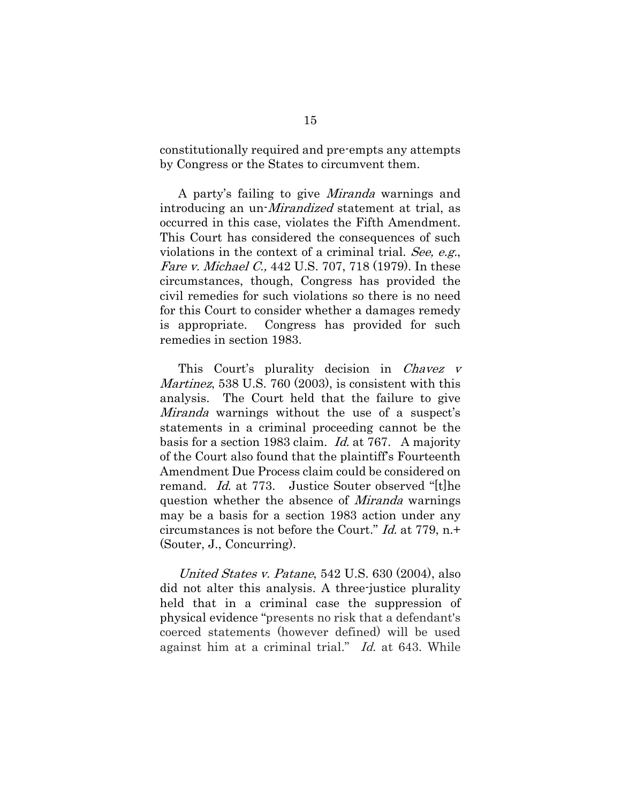constitutionally required and pre-empts any attempts by Congress or the States to circumvent them.

A party's failing to give Miranda warnings and introducing an un-Mirandized statement at trial, as occurred in this case, violates the Fifth Amendment. This Court has considered the consequences of such violations in the context of a criminal trial. See, e.g., Fare v. Michael C., 442 U.S. 707, 718 (1979). In these circumstances, though, Congress has provided the civil remedies for such violations so there is no need for this Court to consider whether a damages remedy is appropriate. Congress has provided for such remedies in section 1983.

This Court's plurality decision in *Chavez v* Martinez, 538 U.S. 760 (2003), is consistent with this analysis. The Court held that the failure to give Miranda warnings without the use of a suspect's statements in a criminal proceeding cannot be the basis for a section 1983 claim. Id. at 767. A majority of the Court also found that the plaintiff's Fourteenth Amendment Due Process claim could be considered on remand. Id. at 773. Justice Souter observed "[t]he question whether the absence of Miranda warnings may be a basis for a section 1983 action under any circumstances is not before the Court." Id. at 779, n.+ (Souter, J., Concurring).

United States v. Patane, 542 U.S. 630 (2004), also did not alter this analysis. A three-justice plurality held that in a criminal case the suppression of physical evidence "presents no risk that a defendant's coerced statements (however defined) will be used against him at a criminal trial." Id. at 643. While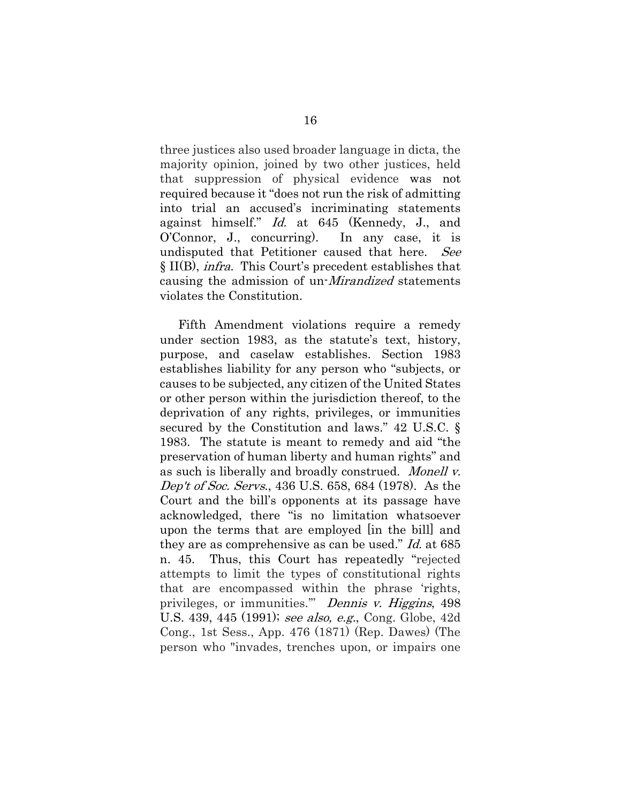three justices also used broader language in dicta, the majority opinion, joined by two other justices, held that suppression of physical evidence was not required because it "does not run the risk of admitting into trial an accused's incriminating statements against himself." Id. at 645 (Kennedy, J., and O'Connor, J., concurring). In any case, it is undisputed that Petitioner caused that here. See § II(B), infra. This Court's precedent establishes that causing the admission of un-Mirandized statements violates the Constitution.

Fifth Amendment violations require a remedy under section 1983, as the statute's text, history, purpose, and caselaw establishes. Section 1983 establishes liability for any person who "subjects, or causes to be subjected, any citizen of the United States or other person within the jurisdiction thereof, to the deprivation of any rights, privileges, or immunities secured by the Constitution and laws." 42 U.S.C. § 1983. The statute is meant to remedy and aid "the preservation of human liberty and human rights" and as such is liberally and broadly construed. Monell v. Dep't of Soc. Servs., 436 U.S. 658, 684 (1978). As the Court and the bill's opponents at its passage have acknowledged, there "is no limitation whatsoever upon the terms that are employed [in the bill] and they are as comprehensive as can be used." Id. at 685 n. 45. Thus, this Court has repeatedly "rejected attempts to limit the types of constitutional rights that are encompassed within the phrase 'rights, privileges, or immunities." Dennis v. Higgins, 498 U.S. 439, 445 (1991); see also, e.g., Cong. Globe, 42d Cong., 1st Sess., App. 476 (1871) (Rep. Dawes) (The person who "invades, trenches upon, or impairs one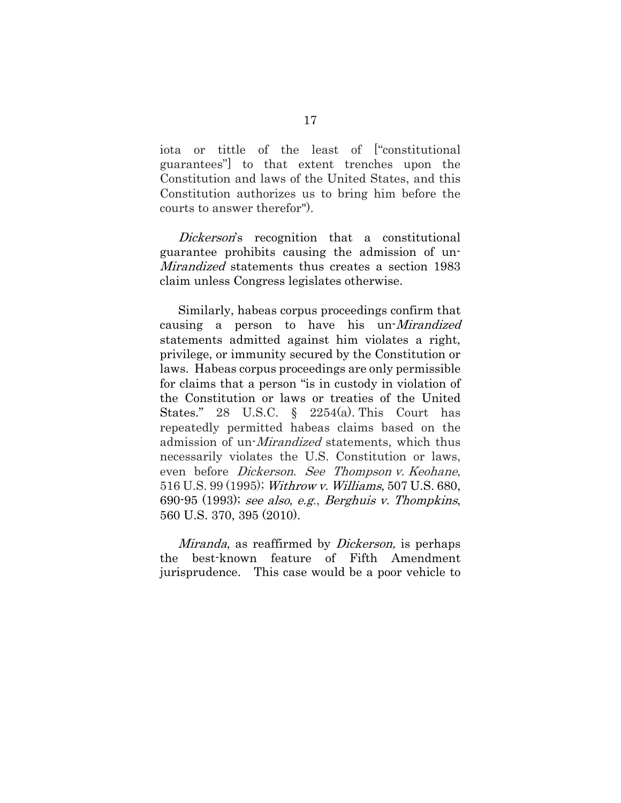iota or tittle of the least of ["constitutional guarantees"] to that extent trenches upon the Constitution and laws of the United States, and this Constitution authorizes us to bring him before the courts to answer therefor").

Dickerson's recognition that a constitutional guarantee prohibits causing the admission of un-Mirandized statements thus creates a section 1983 claim unless Congress legislates otherwise.

Similarly, habeas corpus proceedings confirm that causing a person to have his un-Mirandized statements admitted against him violates a right, privilege, or immunity secured by the Constitution or laws. Habeas corpus proceedings are only permissible for claims that a person "is in custody in violation of the Constitution or laws or treaties of the United States." 28 U.S.C. § 2254(a). This Court has repeatedly permitted habeas claims based on the admission of un-Mirandized statements, which thus necessarily violates the U.S. Constitution or laws, even before Dickerson. See Thompson v. Keohane, 516 U.S. 99 (1995); Withrow v. Williams, 507 U.S. 680, 690-95 (1993); see also, e.g., Berghuis v. Thompkins, 560 U.S. 370, 395 (2010).

Miranda, as reaffirmed by *Dickerson*, is perhaps the best-known feature of Fifth Amendment jurisprudence. This case would be a poor vehicle to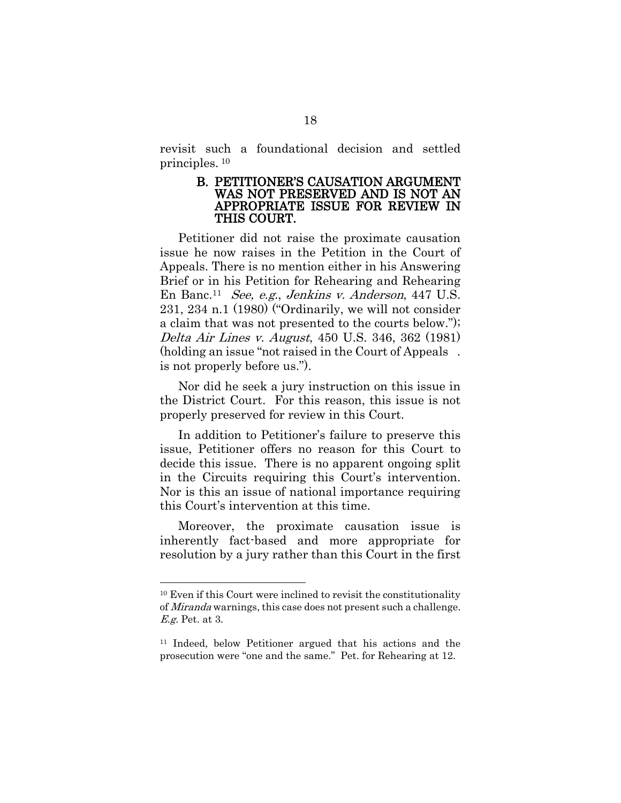revisit such a foundational decision and settled principles. <sup>10</sup>

#### B. PETITIONER'S CAUSATION ARGUMENT WAS NOT PRESERVED AND IS NOT AN APPROPRIATE ISSUE FOR REVIEW IN THIS COURT.

Petitioner did not raise the proximate causation issue he now raises in the Petition in the Court of Appeals. There is no mention either in his Answering Brief or in his Petition for Rehearing and Rehearing En Banc.<sup>11</sup> See, e.g., Jenkins v. Anderson, 447 U.S. 231, 234 n.1 (1980) ("Ordinarily, we will not consider a claim that was not presented to the courts below."); Delta Air Lines v. August, 450 U.S. 346, 362 (1981) (holding an issue "not raised in the Court of Appeals . is not properly before us.").

Nor did he seek a jury instruction on this issue in the District Court. For this reason, this issue is not properly preserved for review in this Court.

In addition to Petitioner's failure to preserve this issue, Petitioner offers no reason for this Court to decide this issue. There is no apparent ongoing split in the Circuits requiring this Court's intervention. Nor is this an issue of national importance requiring this Court's intervention at this time.

Moreover, the proximate causation issue is inherently fact-based and more appropriate for resolution by a jury rather than this Court in the first

<sup>10</sup> Even if this Court were inclined to revisit the constitutionality of Miranda warnings, this case does not present such a challenge. E.g. Pet. at 3.

<sup>11</sup> Indeed, below Petitioner argued that his actions and the prosecution were "one and the same." Pet. for Rehearing at 12.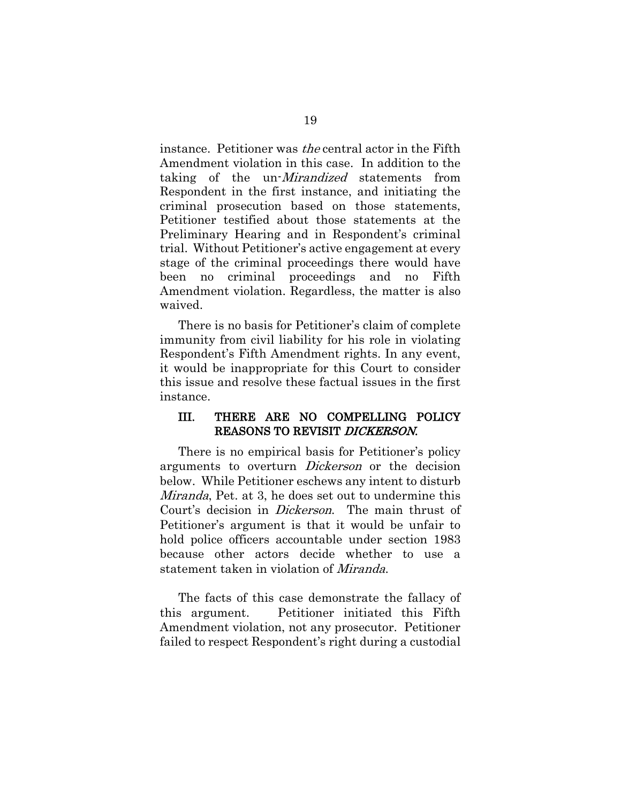instance. Petitioner was the central actor in the Fifth Amendment violation in this case. In addition to the taking of the un-*Mirandized* statements from Respondent in the first instance, and initiating the criminal prosecution based on those statements, Petitioner testified about those statements at the Preliminary Hearing and in Respondent's criminal trial. Without Petitioner's active engagement at every stage of the criminal proceedings there would have been no criminal proceedings and no Fifth Amendment violation. Regardless, the matter is also waived.

There is no basis for Petitioner's claim of complete immunity from civil liability for his role in violating Respondent's Fifth Amendment rights. In any event, it would be inappropriate for this Court to consider this issue and resolve these factual issues in the first instance.

## III. THERE ARE NO COMPELLING POLICY REASONS TO REVISIT DICKERSON.

There is no empirical basis for Petitioner's policy arguments to overturn *Dickerson* or the decision below. While Petitioner eschews any intent to disturb Miranda, Pet. at 3, he does set out to undermine this Court's decision in Dickerson. The main thrust of Petitioner's argument is that it would be unfair to hold police officers accountable under section 1983 because other actors decide whether to use a statement taken in violation of Miranda.

The facts of this case demonstrate the fallacy of this argument. Petitioner initiated this Fifth Amendment violation, not any prosecutor. Petitioner failed to respect Respondent's right during a custodial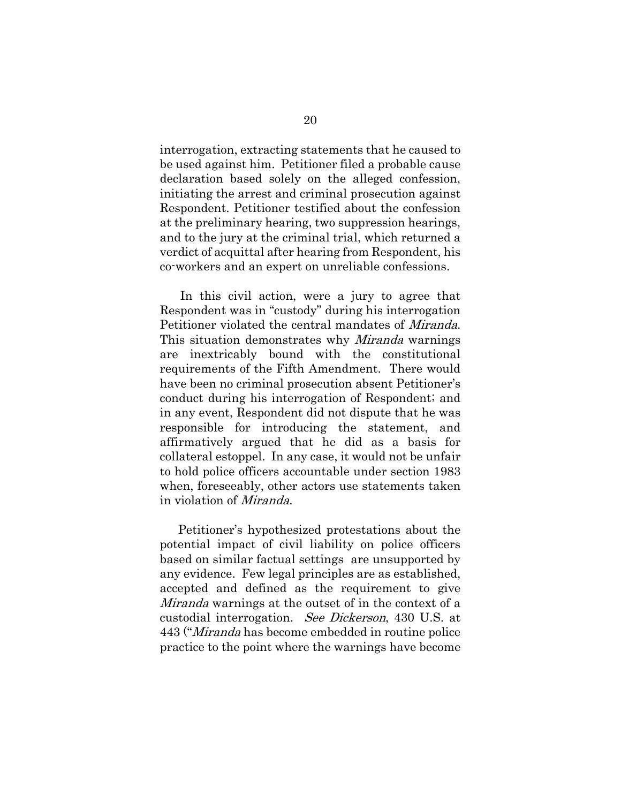interrogation, extracting statements that he caused to be used against him. Petitioner filed a probable cause declaration based solely on the alleged confession, initiating the arrest and criminal prosecution against Respondent. Petitioner testified about the confession at the preliminary hearing, two suppression hearings, and to the jury at the criminal trial, which returned a verdict of acquittal after hearing from Respondent, his co-workers and an expert on unreliable confessions.

 In this civil action, were a jury to agree that Respondent was in "custody" during his interrogation Petitioner violated the central mandates of Miranda. This situation demonstrates why *Miranda* warnings are inextricably bound with the constitutional requirements of the Fifth Amendment. There would have been no criminal prosecution absent Petitioner's conduct during his interrogation of Respondent; and in any event, Respondent did not dispute that he was responsible for introducing the statement, and affirmatively argued that he did as a basis for collateral estoppel. In any case, it would not be unfair to hold police officers accountable under section 1983 when, foreseeably, other actors use statements taken in violation of Miranda.

Petitioner's hypothesized protestations about the potential impact of civil liability on police officers based on similar factual settings are unsupported by any evidence. Few legal principles are as established, accepted and defined as the requirement to give Miranda warnings at the outset of in the context of a custodial interrogation. See Dickerson, 430 U.S. at 443 ("Miranda has become embedded in routine police practice to the point where the warnings have become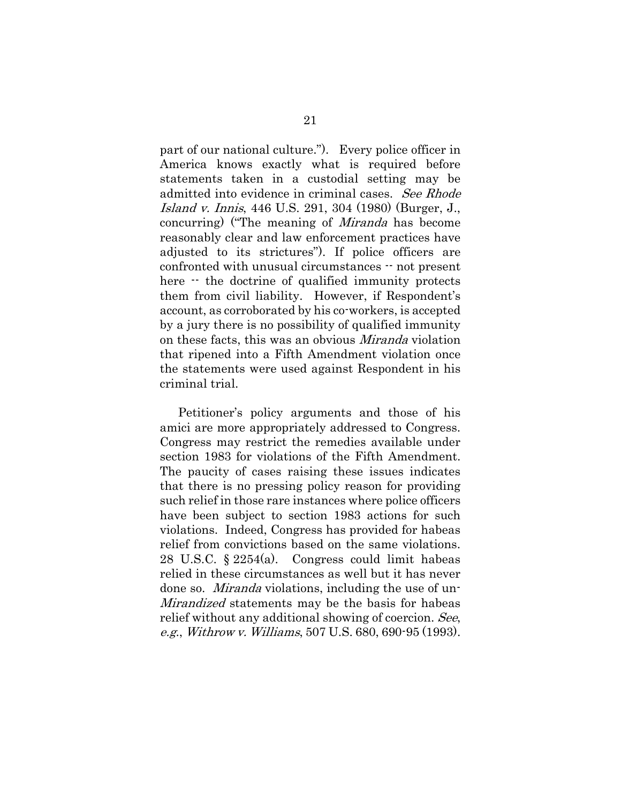part of our national culture."). Every police officer in America knows exactly what is required before statements taken in a custodial setting may be admitted into evidence in criminal cases. See Rhode Island v. Innis, 446 U.S. 291, 304 (1980) (Burger, J., concurring) ("The meaning of Miranda has become reasonably clear and law enforcement practices have adjusted to its strictures"). If police officers are confronted with unusual circumstances -- not present here  $\cdot$  the doctrine of qualified immunity protects them from civil liability. However, if Respondent's account, as corroborated by his co-workers, is accepted by a jury there is no possibility of qualified immunity on these facts, this was an obvious Miranda violation that ripened into a Fifth Amendment violation once the statements were used against Respondent in his criminal trial.

Petitioner's policy arguments and those of his amici are more appropriately addressed to Congress. Congress may restrict the remedies available under section 1983 for violations of the Fifth Amendment. The paucity of cases raising these issues indicates that there is no pressing policy reason for providing such relief in those rare instances where police officers have been subject to section 1983 actions for such violations. Indeed, Congress has provided for habeas relief from convictions based on the same violations. 28 U.S.C. § 2254(a). Congress could limit habeas relied in these circumstances as well but it has never done so. Miranda violations, including the use of un-Mirandized statements may be the basis for habeas relief without any additional showing of coercion. See, e.g., Withrow v. Williams, 507 U.S. 680, 690-95 (1993).